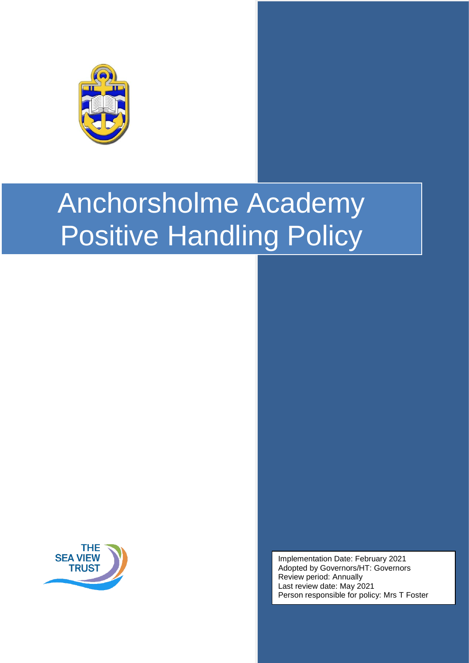

# Anchorsholme Academy Positive Handling Policy



Implementation Date: February 2021 Adopted by Governors/HT: Governors Review period: Annually Last review date: May 2021 Person responsible for policy: Mrs T Foster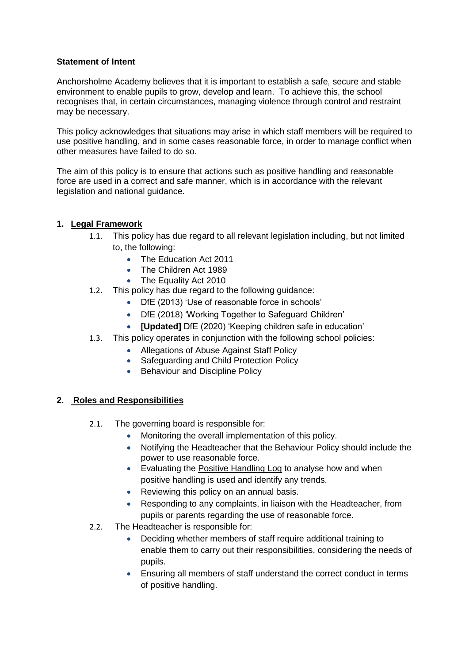#### **Statement of Intent**

Anchorsholme Academy believes that it is important to establish a safe, secure and stable environment to enable pupils to grow, develop and learn. To achieve this, the school recognises that, in certain circumstances, managing violence through control and restraint may be necessary.

This policy acknowledges that situations may arise in which staff members will be required to use positive handling, and in some cases reasonable force, in order to manage conflict when other measures have failed to do so.

The aim of this policy is to ensure that actions such as positive handling and reasonable force are used in a correct and safe manner, which is in accordance with the relevant legislation and national guidance.

#### **1. Legal Framework**

- 1.1. This policy has due regard to all relevant legislation including, but not limited to, the following:
	- The Education Act 2011
	- The Children Act 1989
	- The Equality Act 2010
- 1.2. This policy has due regard to the following guidance:
	- DfE (2013) 'Use of reasonable force in schools'
	- DfE (2018) 'Working Together to Safeguard Children'
	- **[Updated]** DfE (2020) 'Keeping children safe in education'
- 1.3. This policy operates in conjunction with the following school policies:
	- Allegations of Abuse Against Staff Policy
	- Safeguarding and Child Protection Policy
	- Behaviour and Discipline Policy

#### **2. Roles and Responsibilities**

- 2.1. The governing board is responsible for:
	- Monitoring the overall implementation of this policy.
	- Notifying the Headteacher that the Behaviour Policy should include the power to use reasonable force.
	- Evaluating the [Positive Handling Log](#page-7-0) to analyse how and when positive handling is used and identify any trends.
	- Reviewing this policy on an annual basis.
	- Responding to any complaints, in liaison with the Headteacher, from pupils or parents regarding the use of reasonable force.
- 2.2. The Headteacher is responsible for:
	- Deciding whether members of staff require additional training to enable them to carry out their responsibilities, considering the needs of pupils.
	- Ensuring all members of staff understand the correct conduct in terms of positive handling.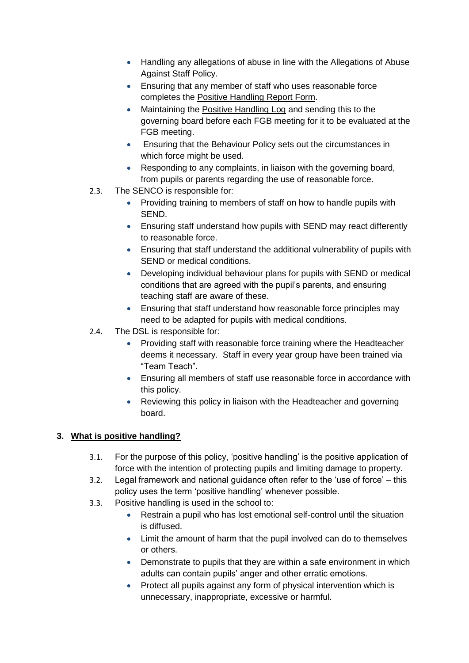- Handling any allegations of abuse in line with the Allegations of Abuse Against Staff Policy.
- Ensuring that any member of staff who uses reasonable force completes the Positive Handling Report Form.
- Maintaining the [Positive Handling Log](#page-7-0) and sending this to the governing board before each FGB meeting for it to be evaluated at the FGB meeting.
- Ensuring that the Behaviour Policy sets out the circumstances in which force might be used.
- Responding to any complaints, in liaison with the governing board, from pupils or parents regarding the use of reasonable force.
- 2.3. The SENCO is responsible for:
	- Providing training to members of staff on how to handle pupils with SEND.
	- Ensuring staff understand how pupils with SEND may react differently to reasonable force.
	- Ensuring that staff understand the additional vulnerability of pupils with SEND or medical conditions.
	- Developing individual behaviour plans for pupils with SEND or medical conditions that are agreed with the pupil's parents, and ensuring teaching staff are aware of these.
	- Ensuring that staff understand how reasonable force principles may need to be adapted for pupils with medical conditions.
- 2.4. The DSL is responsible for:
	- Providing staff with reasonable force training where the Headteacher deems it necessary. Staff in every year group have been trained via "Team Teach".
	- Ensuring all members of staff use reasonable force in accordance with this policy.
	- Reviewing this policy in liaison with the Headteacher and governing board.

# **3. What is positive handling?**

- 3.1. For the purpose of this policy, 'positive handling' is the positive application of force with the intention of protecting pupils and limiting damage to property.
- 3.2. Legal framework and national guidance often refer to the 'use of force' this policy uses the term 'positive handling' whenever possible.
- 3.3. Positive handling is used in the school to:
	- Restrain a pupil who has lost emotional self-control until the situation is diffused.
	- Limit the amount of harm that the pupil involved can do to themselves or others.
	- Demonstrate to pupils that they are within a safe environment in which adults can contain pupils' anger and other erratic emotions.
	- Protect all pupils against any form of physical intervention which is unnecessary, inappropriate, excessive or harmful.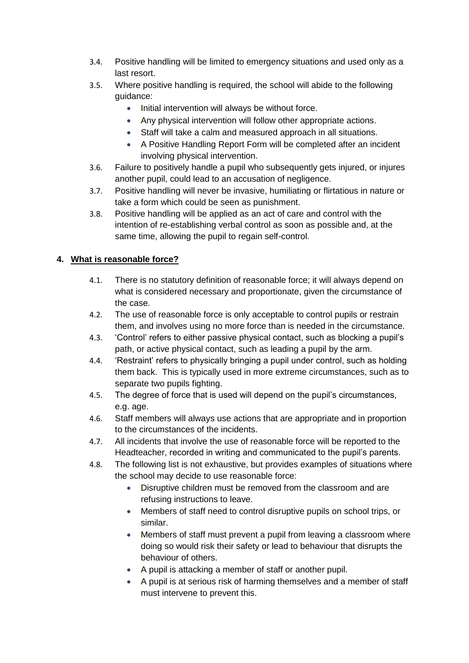- 3.4. Positive handling will be limited to emergency situations and used only as a last resort.
- 3.5. Where positive handling is required, the school will abide to the following guidance:
	- Initial intervention will always be without force.
	- Any physical intervention will follow other appropriate actions.
	- Staff will take a calm and measured approach in all situations.
	- A Positive Handling Report Form will be completed after an incident involving physical intervention.
- 3.6. Failure to positively handle a pupil who subsequently gets injured, or injures another pupil, could lead to an accusation of negligence.
- 3.7. Positive handling will never be invasive, humiliating or flirtatious in nature or take a form which could be seen as punishment.
- 3.8. Positive handling will be applied as an act of care and control with the intention of re-establishing verbal control as soon as possible and, at the same time, allowing the pupil to regain self-control.

#### **4. What is reasonable force?**

- 4.1. There is no statutory definition of reasonable force; it will always depend on what is considered necessary and proportionate, given the circumstance of the case.
- 4.2. The use of reasonable force is only acceptable to control pupils or restrain them, and involves using no more force than is needed in the circumstance.
- 4.3. 'Control' refers to either passive physical contact, such as blocking a pupil's path, or active physical contact, such as leading a pupil by the arm.
- 4.4. 'Restraint' refers to physically bringing a pupil under control, such as holding them back. This is typically used in more extreme circumstances, such as to separate two pupils fighting.
- 4.5. The degree of force that is used will depend on the pupil's circumstances, e.g. age.
- 4.6. Staff members will always use actions that are appropriate and in proportion to the circumstances of the incidents.
- 4.7. All incidents that involve the use of reasonable force will be reported to the Headteacher, recorded in writing and communicated to the pupil's parents.
- 4.8. The following list is not exhaustive, but provides examples of situations where the school may decide to use reasonable force:
	- Disruptive children must be removed from the classroom and are refusing instructions to leave.
	- Members of staff need to control disruptive pupils on school trips, or similar.
	- Members of staff must prevent a pupil from leaving a classroom where doing so would risk their safety or lead to behaviour that disrupts the behaviour of others.
	- A pupil is attacking a member of staff or another pupil.
	- A pupil is at serious risk of harming themselves and a member of staff must intervene to prevent this.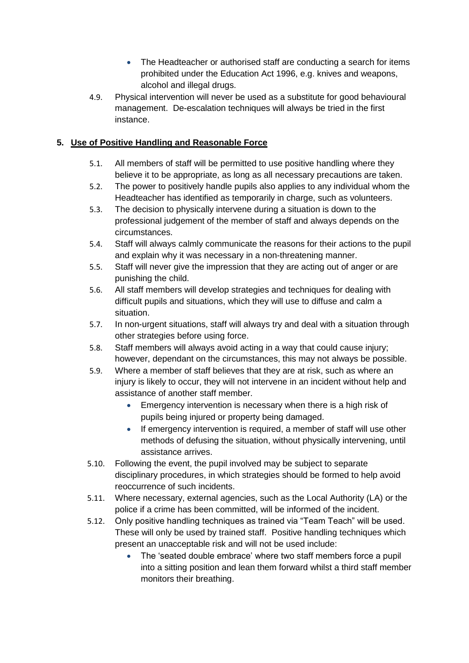- The Headteacher or authorised staff are conducting a search for items prohibited under the Education Act 1996, e.g. knives and weapons, alcohol and illegal drugs.
- 4.9. Physical intervention will never be used as a substitute for good behavioural management. De-escalation techniques will always be tried in the first instance.

## **5. Use of Positive Handling and Reasonable Force**

- 5.1. All members of staff will be permitted to use positive handling where they believe it to be appropriate, as long as all necessary precautions are taken.
- 5.2. The power to positively handle pupils also applies to any individual whom the Headteacher has identified as temporarily in charge, such as volunteers.
- 5.3. The decision to physically intervene during a situation is down to the professional judgement of the member of staff and always depends on the circumstances.
- 5.4. Staff will always calmly communicate the reasons for their actions to the pupil and explain why it was necessary in a non-threatening manner.
- 5.5. Staff will never give the impression that they are acting out of anger or are punishing the child.
- 5.6. All staff members will develop strategies and techniques for dealing with difficult pupils and situations, which they will use to diffuse and calm a situation.
- 5.7. In non-urgent situations, staff will always try and deal with a situation through other strategies before using force.
- 5.8. Staff members will always avoid acting in a way that could cause injury; however, dependant on the circumstances, this may not always be possible.
- 5.9. Where a member of staff believes that they are at risk, such as where an injury is likely to occur, they will not intervene in an incident without help and assistance of another staff member.
	- **Emergency intervention is necessary when there is a high risk of** pupils being injured or property being damaged.
	- If emergency intervention is required, a member of staff will use other methods of defusing the situation, without physically intervening, until assistance arrives.
- 5.10. Following the event, the pupil involved may be subject to separate disciplinary procedures, in which strategies should be formed to help avoid reoccurrence of such incidents.
- 5.11. Where necessary, external agencies, such as the Local Authority (LA) or the police if a crime has been committed, will be informed of the incident.
- 5.12. Only positive handling techniques as trained via "Team Teach" will be used. These will only be used by trained staff. Positive handling techniques which present an unacceptable risk and will not be used include:
	- The 'seated double embrace' where two staff members force a pupil into a sitting position and lean them forward whilst a third staff member monitors their breathing.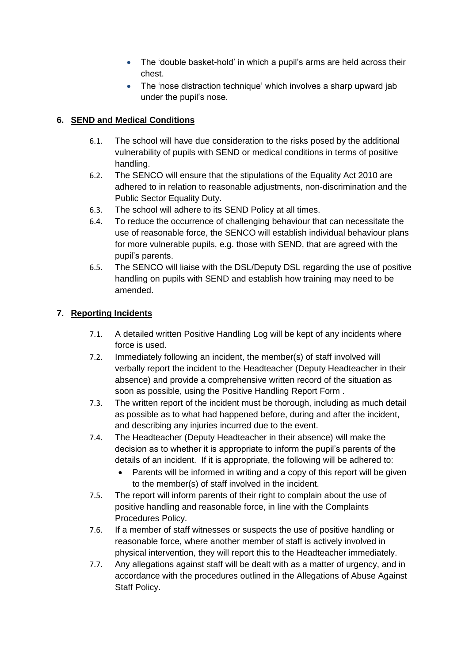- The 'double basket-hold' in which a pupil's arms are held across their chest.
- The 'nose distraction technique' which involves a sharp upward jab under the pupil's nose.

## **6. SEND and Medical Conditions**

- 6.1. The school will have due consideration to the risks posed by the additional vulnerability of pupils with SEND or medical conditions in terms of positive handling.
- 6.2. The SENCO will ensure that the stipulations of the Equality Act 2010 are adhered to in relation to reasonable adjustments, non-discrimination and the Public Sector Equality Duty.
- 6.3. The school will adhere to its SEND Policy at all times.
- 6.4. To reduce the occurrence of challenging behaviour that can necessitate the use of reasonable force, the SENCO will establish individual behaviour plans for more vulnerable pupils, e.g. those with SEND, that are agreed with the pupil's parents.
- 6.5. The SENCO will liaise with the DSL/Deputy DSL regarding the use of positive handling on pupils with SEND and establish how training may need to be amended.

## **7. Reporting Incidents**

- 7.1. A detailed written Positive Handling Log will be kept of any incidents where force is used.
- 7.2. Immediately following an incident, the member(s) of staff involved will verbally report the incident to the Headteacher (Deputy Headteacher in their absence) and provide a comprehensive written record of the situation as soon as possible, using the Positive Handling Report Form .
- 7.3. The written report of the incident must be thorough, including as much detail as possible as to what had happened before, during and after the incident, and describing any injuries incurred due to the event.
- 7.4. The Headteacher (Deputy Headteacher in their absence) will make the decision as to whether it is appropriate to inform the pupil's parents of the details of an incident. If it is appropriate, the following will be adhered to:
	- Parents will be informed in writing and a copy of this report will be given to the member(s) of staff involved in the incident.
- 7.5. The report will inform parents of their right to complain about the use of positive handling and reasonable force, in line with the Complaints Procedures Policy.
- 7.6. If a member of staff witnesses or suspects the use of positive handling or reasonable force, where another member of staff is actively involved in physical intervention, they will report this to the Headteacher immediately.
- 7.7. Any allegations against staff will be dealt with as a matter of urgency, and in accordance with the procedures outlined in the Allegations of Abuse Against Staff Policy.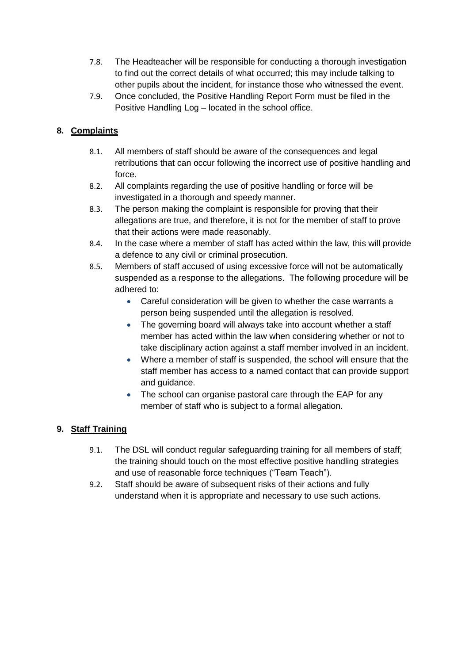- 7.8. The Headteacher will be responsible for conducting a thorough investigation to find out the correct details of what occurred; this may include talking to other pupils about the incident, for instance those who witnessed the event.
- 7.9. Once concluded, the Positive Handling Report Form must be filed in the Positive Handling Log – located in the school office.

# **8. Complaints**

- 8.1. All members of staff should be aware of the consequences and legal retributions that can occur following the incorrect use of positive handling and force.
- 8.2. All complaints regarding the use of positive handling or force will be investigated in a thorough and speedy manner.
- 8.3. The person making the complaint is responsible for proving that their allegations are true, and therefore, it is not for the member of staff to prove that their actions were made reasonably.
- 8.4. In the case where a member of staff has acted within the law, this will provide a defence to any civil or criminal prosecution.
- 8.5. Members of staff accused of using excessive force will not be automatically suspended as a response to the allegations. The following procedure will be adhered to:
	- Careful consideration will be given to whether the case warrants a person being suspended until the allegation is resolved.
	- The governing board will always take into account whether a staff member has acted within the law when considering whether or not to take disciplinary action against a staff member involved in an incident.
	- Where a member of staff is suspended, the school will ensure that the staff member has access to a named contact that can provide support and guidance.
	- The school can organise pastoral care through the EAP for any member of staff who is subject to a formal allegation.

# **9. Staff Training**

- 9.1. The DSL will conduct regular safeguarding training for all members of staff; the training should touch on the most effective positive handling strategies and use of reasonable force techniques ("Team Teach").
- 9.2. Staff should be aware of subsequent risks of their actions and fully understand when it is appropriate and necessary to use such actions.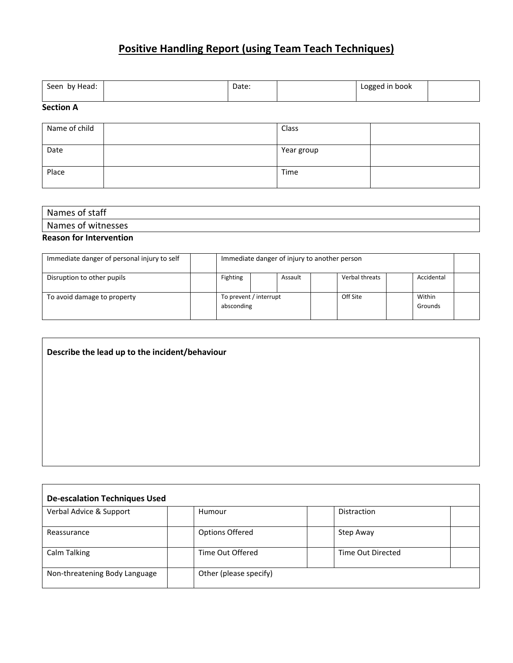# **Positive Handling Report (using Team Teach Techniques)**

<span id="page-7-0"></span>

| Seen by Head: | Date: | Logged in book |  |
|---------------|-------|----------------|--|

#### **Section A**

Г

| Name of child | Class      |  |
|---------------|------------|--|
| Date          | Year group |  |
| Place         | Time       |  |

| Names of staff            |  |
|---------------------------|--|
| . .<br>Names of witnesses |  |
|                           |  |

# **Reason for Intervention**

| Immediate danger of personal injury to self | Immediate danger of injury to another person |  |         |          |                   |            |  |
|---------------------------------------------|----------------------------------------------|--|---------|----------|-------------------|------------|--|
| Disruption to other pupils                  | Fighting                                     |  | Assault |          | Verbal threats    | Accidental |  |
| To avoid damage to property                 | To prevent / interrupt<br>absconding         |  |         | Off Site | Within<br>Grounds |            |  |

## **Describe the lead up to the incident/behaviour**

| <b>De-escalation Techniques Used</b> |                        |                   |  |  |  |  |  |  |
|--------------------------------------|------------------------|-------------------|--|--|--|--|--|--|
| Verbal Advice & Support              | Humour                 | Distraction       |  |  |  |  |  |  |
| Reassurance                          | <b>Options Offered</b> | Step Away         |  |  |  |  |  |  |
| <b>Calm Talking</b>                  | Time Out Offered       | Time Out Directed |  |  |  |  |  |  |
| Non-threatening Body Language        | Other (please specify) |                   |  |  |  |  |  |  |